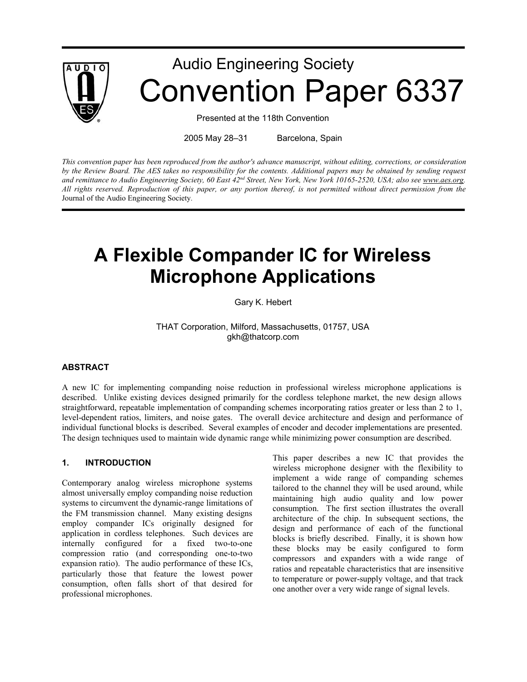

# Audio Engineering Society Convention Paper 6337

Presented at the 118th Convention

2005 May 28–31 Barcelona, Spain

*This convention paper has been reproduced from the author's advance manuscript, without editing, corrections, or consideration by the Review Board. The AES takes no responsibility for the contents. Additional papers may be obtained by sending request and remittance to Audio Engineering Society, 60 East 42nd Street, New York, New York 10165-2520, USA; also see www.aes.org. All rights reserved. Reproduction of this paper, or any portion thereof, is not permitted without direct permission from the* Journal of the Audio Engineering Society*.*

# **A Flexible Compander IC for Wireless Microphone Applications**

Gary K. Hebert

THAT Corporation, Milford, Massachusetts, 01757, USA gkh@thatcorp.com

#### **ABSTRACT**

A new IC for implementing companding noise reduction in professional wireless microphone applications is described. Unlike existing devices designed primarily for the cordless telephone market, the new design allows straightforward, repeatable implementation of companding schemes incorporating ratios greater or less than 2 to 1, level-dependent ratios, limiters, and noise gates. The overall device architecture and design and performance of individual functional blocks is described. Several examples of encoder and decoder implementations are presented. The design techniques used to maintain wide dynamic range while minimizing power consumption are described.

#### **1. INTRODUCTION**

Contemporary analog wireless microphone systems almost universally employ companding noise reduction systems to circumvent the dynamic-range limitations of the FM transmission channel. Many existing designs employ compander ICs originally designed for application in cordless telephones. Such devices are internally configured for a fixed two-to-one compression ratio (and corresponding one-to-two expansion ratio). The audio performance of these ICs, particularly those that feature the lowest power consumption, often falls short of that desired for professional microphones.

This paper describes a new IC that provides the wireless microphone designer with the flexibility to implement a wide range of companding schemes tailored to the channel they will be used around, while maintaining high audio quality and low power consumption. The first section illustrates the overall architecture of the chip. In subsequent sections, the design and performance of each of the functional blocks is briefly described. Finally, it is shown how these blocks may be easily configured to form compressors and expanders with a wide range of ratios and repeatable characteristics that are insensitive to temperature or power-supply voltage, and that track one another over a very wide range of signal levels.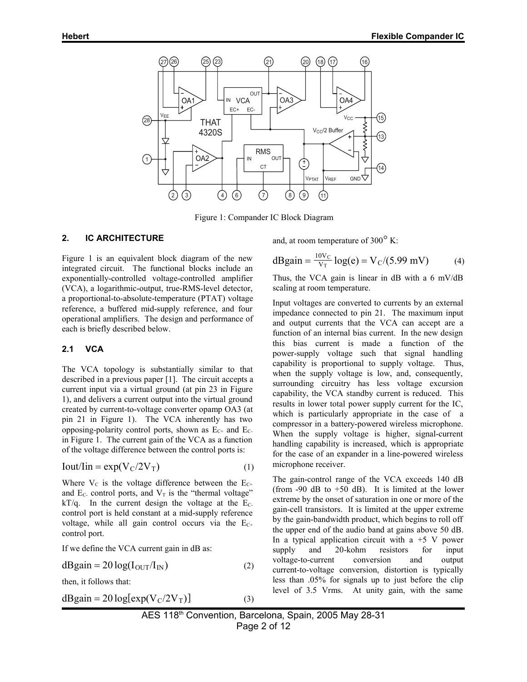

Figure 1: Compander IC Block Diagram

#### **2. IC ARCHITECTURE**

Figure 1 is an equivalent block diagram of the new integrated circuit. The functional blocks include an exponentially-controlled voltage-controlled amplifier (VCA), a logarithmic-output, true-RMS-level detector, a proportional-to-absolute-temperature (PTAT) voltage reference, a buffered mid-supply reference, and four operational amplifiers. The design and performance of each is briefly described below.

#### **2.1 VCA**

The VCA topology is substantially similar to that described in a previous paper [1]. The circuit accepts a current input via a virtual ground (at pin 23 in Figure 1), and delivers a current output into the virtual ground created by current-to-voltage converter opamp OA3 (at pin 21 in Figure 1). The VCA inherently has two opposing-polarity control ports, shown as  $E_{C^+}$  and  $E_{C^-}$ in Figure 1. The current gain of the VCA as a function of the voltage difference between the control ports is:

$$
Iout/lin = exp(VC/2VT)
$$
 (1)

Where  $V_c$  is the voltage difference between the  $E_{C+}$ and  $E_C$ - control ports, and  $V_T$  is the "thermal voltage"  $kT/q$ . In the current design the voltage at the E<sub>C</sub>control port is held constant at a mid-supply reference voltage, while all gain control occurs via the  $E_{C+}$ control port.

If we define the VCA current gain in dB as:

$$
dBgain = 20 \log(I_{\text{OUT}}/I_{\text{IN}})
$$
 (2)

then, it follows that:

$$
dBgain = 20 \log[exp(V_C/2V_T)] \tag{3}
$$

and, at room temperature of  $300^{\circ}$  K:

$$
dBgain = \frac{10V_C}{V_T} \log(e) = V_C/(5.99 \text{ mV})
$$
 (4)

Thus, the VCA gain is linear in dB with a 6 mV/dB scaling at room temperature.

Input voltages are converted to currents by an external impedance connected to pin 21. The maximum input and output currents that the VCA can accept are a function of an internal bias current. In the new design this bias current is made a function of the power-supply voltage such that signal handling capability is proportional to supply voltage. Thus, when the supply voltage is low, and, consequently, surrounding circuitry has less voltage excursion capability, the VCA standby current is reduced. This results in lower total power supply current for the IC, which is particularly appropriate in the case of a compressor in a battery-powered wireless microphone. When the supply voltage is higher, signal-current handling capability is increased, which is appropriate for the case of an expander in a line-powered wireless microphone receiver.

The gain-control range of the VCA exceeds 140 dB (from  $-90$  dB to  $+50$  dB). It is limited at the lower extreme by the onset of saturation in one or more of the gain-cell transistors. It is limited at the upper extreme by the gain-bandwidth product, which begins to roll off the upper end of the audio band at gains above 50 dB. In a typical application circuit with a  $+5$  V power supply and 20-kohm resistors for input voltage-to-current conversion and output current-to-voltage conversion, distortion is typically less than .05% for signals up to just before the clip level of 3.5 Vrms. At unity gain, with the same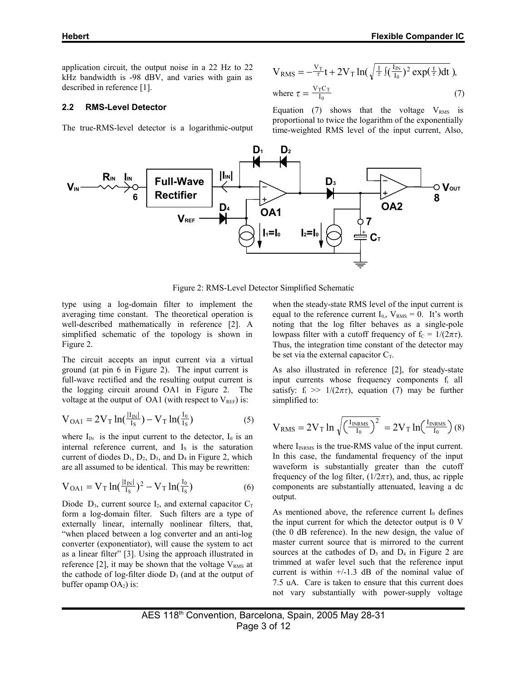application circuit, the output noise in a 22 Hz to 22 kHz bandwidth is -98 dBV, and varies with gain as described in reference [1].

#### **2.2 RMS-Level Detector**

The true-RMS-level detector is a logarithmic-output

$$
V_{RMS} = -\frac{V_T}{\tau}t + 2V_T \ln(\sqrt{\frac{1}{\tau}} \int (\frac{I_{IN}}{I_0})^2 \exp(\frac{t}{\tau}) dt),
$$
  
where  $\tau = \frac{V_T C_T}{I_0}$  (7)

Equation (7) shows that the voltage  $V_{RMS}$  is proportional to twice the logarithm of the exponentially time-weighted RMS level of the input current, Also,



Figure 2: RMS-Level Detector Simplified Schematic

type using a log-domain filter to implement the averaging time constant. The theoretical operation is well-described mathematically in reference [2]. A simplified schematic of the topology is shown in Figure 2.

The circuit accepts an input current via a virtual ground (at pin 6 in Figure 2). The input current is full-wave rectified and the resulting output current is the logging circuit around OA1 in Figure 2. The voltage at the output of OA1 (with respect to  $V_{REF}$ ) is:

$$
V_{OA1} = 2V_T \ln(\frac{|I_{IN}|}{I_S}) - V_T \ln(\frac{I_0}{I_S})
$$
 (5)

where  $I_{IN}$  is the input current to the detector,  $I_0$  is an internal reference current, and I<sub>s</sub> is the saturation current of diodes  $D_1$ ,  $D_2$ ,  $D_3$ , and  $D_4$  in Figure 2, which are all assumed to be identical. This may be rewritten:

$$
V_{OA1} = V_T \ln(\frac{|I_{IN}|}{I_S})^2 - V_T \ln(\frac{I_0}{I_S})
$$
 (6)

Diode  $D_3$ , current source  $I_2$ , and external capacitor  $C_T$ form a log-domain filter. Such filters are a type of externally linear, internally nonlinear filters, that, "when placed between a log converter and an anti-log converter (exponentiator), will cause the system to act as a linear filter" [3]. Using the approach illustrated in reference [2], it may be shown that the voltage  $V_{RMS}$  at the cathode of log-filter diode  $D_3$  (and at the output of buffer opamp  $OA<sub>2</sub>$ ) is:

when the steady-state RMS level of the input current is equal to the reference current  $I_{0}$ ,  $V_{RMS} = 0$ . It's worth noting that the log filter behaves as a single-pole lowpass filter with a cutoff frequency of  $f_c = 1/(2\pi\tau)$ . Thus, the integration time constant of the detector may be set via the external capacitor  $C_T$ .

As also illustrated in reference [2], for steady-state input currents whose frequency components fi all satisfy:  $f_i \gg 1/(2\pi\tau)$ , equation (7) may be further simplified to:

$$
V_{RMS} = 2V_T \ln \sqrt{\left(\frac{I_{INRMS}}{I_0}\right)^2} = 2V_T \ln\left(\frac{I_{INRMS}}{I_0}\right)(8)
$$

where  $I_{INRMS}$  is the true-RMS value of the input current. In this case, the fundamental frequency of the input waveform is substantially greater than the cutoff frequency of the log filter,  $(1/2\pi\tau)$ , and, thus, ac ripple components are substantially attenuated, leaving a dc output.

As mentioned above, the reference current  $I_0$  defines the input current for which the detector output is 0 V (the 0 dB reference). In the new design, the value of master current source that is mirrored to the current sources at the cathodes of  $D_3$  and  $D_4$  in Figure 2 are trimmed at wafer level such that the reference input current is within  $+/-1.3$  dB of the nominal value of 7.5 uA. Care is taken to ensure that this current does not vary substantially with power-supply voltage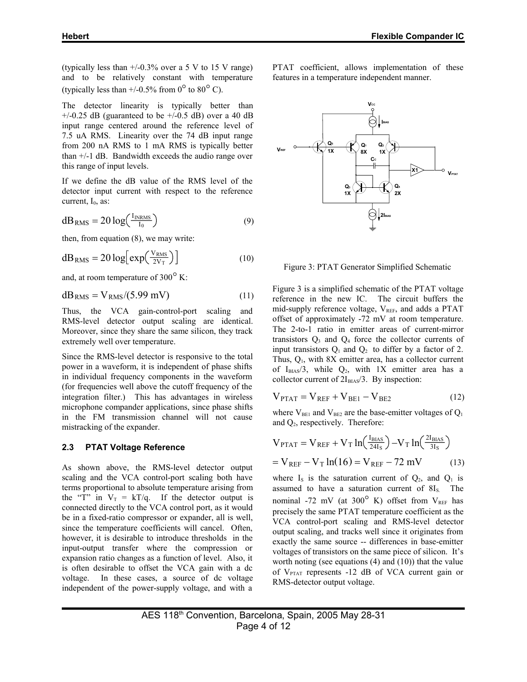(typically less than  $+/0.3\%$  over a 5 V to 15 V range) and to be relatively constant with temperature (typically less than  $+/0.5\%$  from  $0^{\circ}$  to  $80^{\circ}$  C).

The detector linearity is typically better than  $+/-0.25$  dB (guaranteed to be  $+/-0.5$  dB) over a 40 dB input range centered around the reference level of 7.5 uA RMS. Linearity over the 74 dB input range from 200 nA RMS to 1 mA RMS is typically better than +/-1 dB. Bandwidth exceeds the audio range over this range of input levels.

If we define the dB value of the RMS level of the detector input current with respect to the reference current,  $I_0$ , as:

$$
dB_{RMS} = 20 \log \left( \frac{I_{INRMS}}{I_0} \right) \tag{9}
$$

then, from equation (8), we may write:

$$
dB_{RMS} = 20 \log \left[ \exp \left( \frac{V_{RMS}}{2V_T} \right) \right]
$$
 (10)

and, at room temperature of 300° K:

$$
dB_{RMS} = V_{RMS}/(5.99 \text{ mV})
$$
 (11)

Thus, the VCA gain-control-port scaling and RMS-level detector output scaling are identical. Moreover, since they share the same silicon, they track extremely well over temperature.

Since the RMS-level detector is responsive to the total power in a waveform, it is independent of phase shifts in individual frequency components in the waveform (for frequencies well above the cutoff frequency of the integration filter.) This has advantages in wireless microphone compander applications, since phase shifts in the FM transmission channel will not cause mistracking of the expander.

#### **2.3 PTAT Voltage Reference**

As shown above, the RMS-level detector output scaling and the VCA control-port scaling both have terms proportional to absolute temperature arising from the "T" in  $V_T = kT/q$ . If the detector output is connected directly to the VCA control port, as it would be in a fixed-ratio compressor or expander, all is well, since the temperature coefficients will cancel. Often, however, it is desirable to introduce thresholds in the input-output transfer where the compression or expansion ratio changes as a function of level. Also, it is often desirable to offset the VCA gain with a dc voltage. In these cases, a source of dc voltage independent of the power-supply voltage, and with a

PTAT coefficient, allows implementation of these features in a temperature independent manner.



Figure 3: PTAT Generator Simplified Schematic

Figure 3 is a simplified schematic of the PTAT voltage reference in the new IC. The circuit buffers the mid-supply reference voltage,  $V_{REF}$ , and adds a PTAT offset of approximately -72 mV at room temperature. The 2-to-1 ratio in emitter areas of current-mirror transistors  $Q_3$  and  $Q_4$  force the collector currents of input transistors  $Q_1$  and  $Q_2$  to differ by a factor of 2. Thus, Q1, with 8X emitter area, has a collector current of  $I_{BIAS}/3$ , while  $Q_2$ , with 1X emitter area has a collector current of  $2I_{BIAS}/3$ . By inspection:

$$
V_{PTAT} = V_{REF} + V_{BE1} - V_{BE2}
$$
 (12)

where  $V_{BE1}$  and  $V_{BE2}$  are the base-emitter voltages of  $Q_1$ and  $Q_2$ , respectively. Therefore:

$$
V_{\text{PTAT}} = V_{\text{REF}} + V_{\text{T}} \ln \left( \frac{I_{\text{BIAS}}}{24I_{\text{S}}} \right) - V_{\text{T}} \ln \left( \frac{2I_{\text{BIAS}}}{3I_{\text{S}}} \right)
$$
  
=  $V_{\text{REF}} - V_{\text{T}} \ln(16) = V_{\text{REF}} - 72 \text{ mV}$  (13)

where  $I_s$  is the saturation current of  $Q_2$ , and  $Q_1$  is assumed to have a saturation current of  $8I_s$ . The nominal -72 mV (at  $300^{\circ}$  K) offset from  $V_{REF}$  has precisely the same PTAT temperature coefficient as the VCA control-port scaling and RMS-level detector output scaling, and tracks well since it originates from exactly the same source -- differences in base-emitter voltages of transistors on the same piece of silicon. It's worth noting (see equations (4) and (10)) that the value of V<sub>PTAT</sub> represents -12 dB of VCA current gain or RMS-detector output voltage.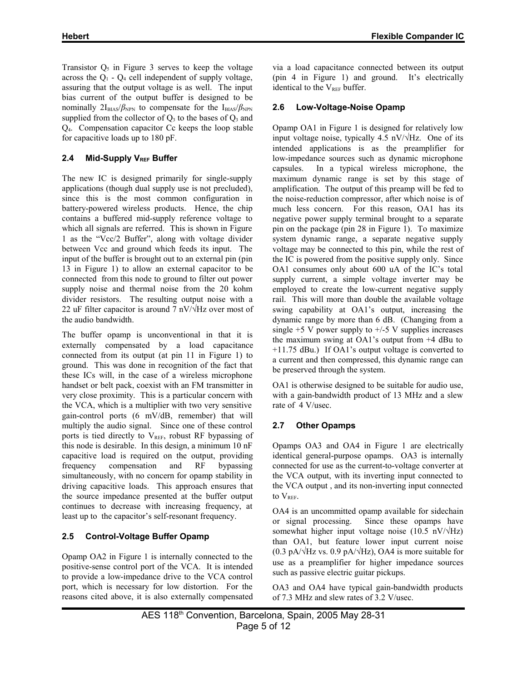Transistor  $Q_5$  in Figure 3 serves to keep the voltage across the  $Q_1$  -  $Q_4$  cell independent of supply voltage, assuring that the output voltage is as well. The input bias current of the output buffer is designed to be nominally  $2I_{BIAS}/\beta_{NPN}$  to compensate for the  $I_{BIAS}/\beta_{NPN}$ supplied from the collector of  $Q_3$  to the bases of  $Q_3$  and Q4. Compensation capacitor Cc keeps the loop stable for capacitive loads up to 180 pF.

# 2.4 Mid-Supply V<sub>REF</sub> Buffer

The new IC is designed primarily for single-supply applications (though dual supply use is not precluded), since this is the most common configuration in battery-powered wireless products. Hence, the chip contains a buffered mid-supply reference voltage to which all signals are referred. This is shown in Figure 1 as the "Vcc/2 Buffer", along with voltage divider between Vcc and ground which feeds its input. The input of the buffer is brought out to an external pin (pin 13 in Figure 1) to allow an external capacitor to be connected from this node to ground to filter out power supply noise and thermal noise from the 20 kohm divider resistors. The resulting output noise with a 22 uF filter capacitor is around 7 nV/ $\forall$ Hz over most of the audio bandwidth.

The buffer opamp is unconventional in that it is externally compensated by a load capacitance connected from its output (at pin 11 in Figure 1) to ground. This was done in recognition of the fact that these ICs will, in the case of a wireless microphone handset or belt pack, coexist with an FM transmitter in very close proximity. This is a particular concern with the VCA, which is a multiplier with two very sensitive gain-control ports (6 mV/dB, remember) that will multiply the audio signal. Since one of these control ports is tied directly to  $V_{REF}$ , robust RF bypassing of this node is desirable. In this design, a minimum 10 nF capacitive load is required on the output, providing frequency compensation and RF bypassing simultaneously, with no concern for opamp stability in driving capacitive loads. This approach ensures that the source impedance presented at the buffer output continues to decrease with increasing frequency, at least up to the capacitor's self-resonant frequency.

# **2.5 Control-Voltage Buffer Opamp**

Opamp OA2 in Figure 1 is internally connected to the positive-sense control port of the VCA. It is intended to provide a low-impedance drive to the VCA control port, which is necessary for low distortion. For the reasons cited above, it is also externally compensated via a load capacitance connected between its output (pin 4 in Figure 1) and ground. It's electrically identical to the  $V_{REF}$  buffer.

# **2.6 Low-Voltage-Noise Opamp**

Opamp OA1 in Figure 1 is designed for relatively low input voltage noise, typically 4.5 nV/ $\sqrt{Hz}$ . One of its intended applications is as the preamplifier for low-impedance sources such as dynamic microphone capsules. In a typical wireless microphone, the maximum dynamic range is set by this stage of amplification. The output of this preamp will be fed to the noise-reduction compressor, after which noise is of much less concern. For this reason, OA1 has its negative power supply terminal brought to a separate pin on the package (pin 28 in Figure 1). To maximize system dynamic range, a separate negative supply voltage may be connected to this pin, while the rest of the IC is powered from the positive supply only. Since OA1 consumes only about 600 uA of the IC's total supply current, a simple voltage inverter may be employed to create the low-current negative supply rail. This will more than double the available voltage swing capability at OA1's output, increasing the dynamic range by more than 6 dB. (Changing from a single  $+5$  V power supply to  $+/-5$  V supplies increases the maximum swing at OA1's output from +4 dBu to +11.75 dBu.) If OA1's output voltage is converted to a current and then compressed, this dynamic range can be preserved through the system.

OA1 is otherwise designed to be suitable for audio use, with a gain-bandwidth product of 13 MHz and a slew rate of 4 V/usec.

# **2.7 Other Opamps**

Opamps OA3 and OA4 in Figure 1 are electrically identical general-purpose opamps. OA3 is internally connected for use as the current-to-voltage converter at the VCA output, with its inverting input connected to the VCA output , and its non-inverting input connected to V<sub>REF</sub>.

OA4 is an uncommitted opamp available for sidechain or signal processing. Since these opamps have somewhat higher input voltage noise (10.5 nV/ $\sqrt{Hz}$ ) than OA1, but feature lower input current noise  $(0.3 \text{ pA}/\sqrt{\text{Hz}} \text{ vs. } 0.9 \text{ pA}/\sqrt{\text{Hz}})$ , OA4 is more suitable for use as a preamplifier for higher impedance sources such as passive electric guitar pickups.

OA3 and OA4 have typical gain-bandwidth products of 7.3 MHz and slew rates of 3.2 V/usec.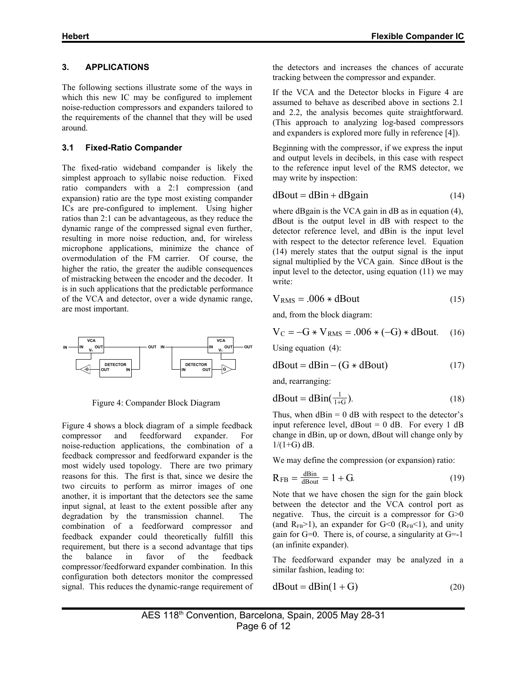#### **3. APPLICATIONS**

The following sections illustrate some of the ways in which this new IC may be configured to implement noise-reduction compressors and expanders tailored to the requirements of the channel that they will be used around.

# **3.1 Fixed-Ratio Compander**

The fixed-ratio wideband compander is likely the simplest approach to syllabic noise reduction. Fixed ratio companders with a 2:1 compression (and expansion) ratio are the type most existing compander ICs are pre-configured to implement. Using higher ratios than 2:1 can be advantageous, as they reduce the dynamic range of the compressed signal even further, resulting in more noise reduction, and, for wireless microphone applications, minimize the chance of overmodulation of the FM carrier. Of course, the higher the ratio, the greater the audible consequences of mistracking between the encoder and the decoder. It is in such applications that the predictable performance of the VCA and detector, over a wide dynamic range, are most important.



Figure 4: Compander Block Diagram

Figure 4 shows a block diagram of a simple feedback compressor and feedforward expander. For noise-reduction applications, the combination of a feedback compressor and feedforward expander is the most widely used topology. There are two primary reasons for this. The first is that, since we desire the two circuits to perform as mirror images of one another, it is important that the detectors see the same input signal, at least to the extent possible after any degradation by the transmission channel. The combination of a feedforward compressor and feedback expander could theoretically fulfill this requirement, but there is a second advantage that tips the balance in favor of the feedback compressor/feedforward expander combination. In this configuration both detectors monitor the compressed signal. This reduces the dynamic-range requirement of the detectors and increases the chances of accurate tracking between the compressor and expander.

If the VCA and the Detector blocks in Figure 4 are assumed to behave as described above in sections 2.1 and 2.2, the analysis becomes quite straightforward. (This approach to analyzing log-based compressors and expanders is explored more fully in reference [4]).

Beginning with the compressor, if we express the input and output levels in decibels, in this case with respect to the reference input level of the RMS detector, we may write by inspection:

$$
d\text{Bout} = d\text{Bin} + d\text{Bgain} \tag{14}
$$

where dBgain is the VCA gain in dB as in equation (4), dBout is the output level in dB with respect to the detector reference level, and dBin is the input level with respect to the detector reference level. Equation (14) merely states that the output signal is the input signal multiplied by the VCA gain. Since dBout is the input level to the detector, using equation (11) we may write:

$$
V_{RMS} = .006 * dBout
$$
 (15)

and, from the block diagram:

$$
V_C = -G * V_{RMS} = .006 * (-G) * dBout.
$$
 (16)

Using equation (4):

$$
d\text{Bout} = d\text{Bin} - (\text{G} * d\text{Bout}) \tag{17}
$$

and, rearranging:

$$
d\text{Bout} = d\text{Bin}(\frac{1}{1+G}).\tag{18}
$$

Thus, when  $dBin = 0$  dB with respect to the detector's input reference level,  $dBout = 0$  dB. For every 1 dB change in dBin, up or down, dBout will change only by  $1/(1+G)$  dB.

We may define the compression (or expansion) ratio:

$$
R_{FB} = \frac{d \text{Bin}}{d \text{Bout}} = 1 + G. \tag{19}
$$

Note that we have chosen the sign for the gain block between the detector and the VCA control port as negative. Thus, the circuit is a compressor for G>0 (and  $R_{FB}$ >1), an expander for G<0 ( $R_{FB}$ <1), and unity gain for G=0. There is, of course, a singularity at G=-1 (an infinite expander).

The feedforward expander may be analyzed in a similar fashion, leading to:

$$
d\text{Bout} = d\text{Bin}(1+G) \tag{20}
$$

AES 118th Convention, Barcelona, Spain, 2005 May 28-31 Page 6 of 12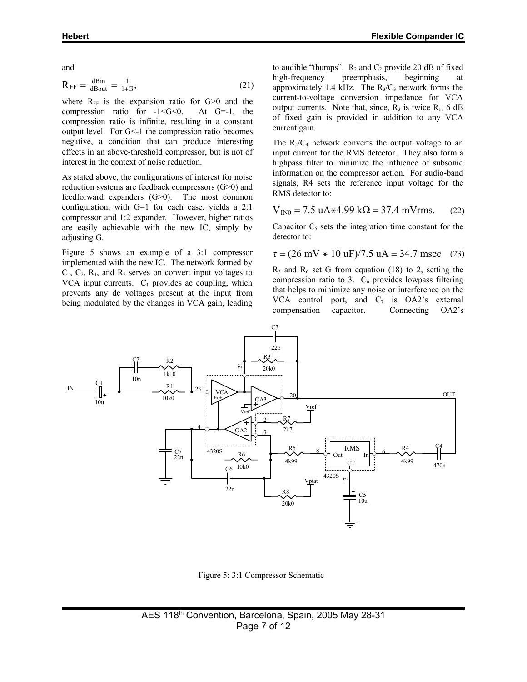and

$$
R_{FF} = \frac{d \text{Bin}}{d \text{Bout}} = \frac{1}{1+G},\tag{21}
$$

where  $R_{FF}$  is the expansion ratio for  $G>0$  and the compression ratio for  $-1 < G < 0$ . At  $G=-1$ , the compression ratio is infinite, resulting in a constant output level. For G<-1 the compression ratio becomes negative, a condition that can produce interesting effects in an above-threshold compressor, but is not of interest in the context of noise reduction.

As stated above, the configurations of interest for noise reduction systems are feedback compressors (G>0) and feedforward expanders (G>0). The most common configuration, with G=1 for each case, yields a 2:1 compressor and 1:2 expander. However, higher ratios are easily achievable with the new IC, simply by adjusting G.

Figure 5 shows an example of a 3:1 compressor implemented with the new IC. The network formed by  $C_1$ ,  $C_2$ ,  $R_1$ , and  $R_2$  serves on convert input voltages to VCA input currents.  $C_1$  provides ac coupling, which prevents any dc voltages present at the input from being modulated by the changes in VCA gain, leading

to audible "thumps".  $R_2$  and  $C_2$  provide 20 dB of fixed high-frequency preemphasis, beginning at approximately 1.4 kHz. The  $R_3/C_3$  network forms the current-to-voltage conversion impedance for VCA output currents. Note that, since,  $R_3$  is twice  $R_1$ , 6 dB of fixed gain is provided in addition to any VCA current gain.

The  $R_4/C_4$  network converts the output voltage to an input current for the RMS detector. They also form a highpass filter to minimize the influence of subsonic information on the compressor action. For audio-band signals, R4 sets the reference input voltage for the RMS detector to:

$$
V_{IN0} = 7.5 \text{ uA} \times 4.99 \text{ k}\Omega = 37.4 \text{ mV} \text{rms.}
$$
 (22)

Capacitor  $C_5$  sets the integration time constant for the detector to:

$$
\tau = (26 \text{ mV} * 10 \text{ uF})/7.5 \text{ uA} = 34.7 \text{ msec.}
$$
 (23)

 $R_5$  and  $R_6$  set G from equation (18) to 2, setting the compression ratio to 3.  $C_6$  provides lowpass filtering that helps to minimize any noise or interference on the VCA control port, and  $C_7$  is OA2's external compensation capacitor. Connecting OA2's



Figure 5: 3:1 Compressor Schematic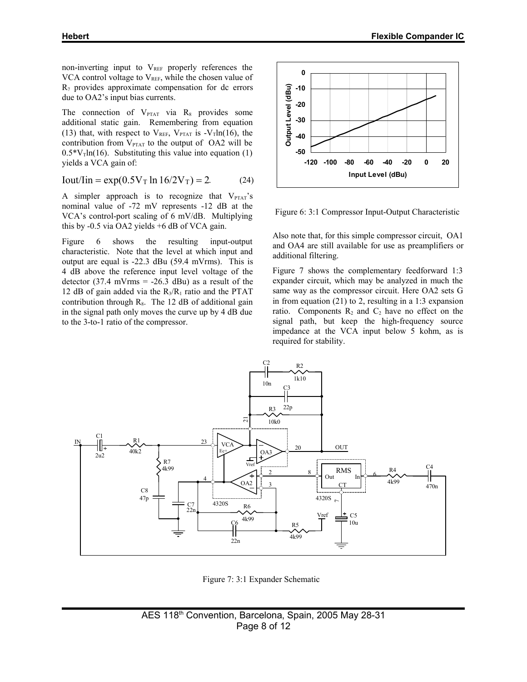non-inverting input to  $V_{REF}$  properly references the VCA control voltage to  $V_{REF}$ , while the chosen value of  $R_7$  provides approximate compensation for dc errors due to OA2's input bias currents.

The connection of  $V_{PTAT}$  via  $R_8$  provides some additional static gain. Remembering from equation (13) that, with respect to  $V_{REF}$ ,  $V_{PTAT}$  is  $-V_T ln(16)$ , the contribution from  $V_{\text{PTAT}}$  to the output of OA2 will be  $0.5*V_T ln(16)$ . Substituting this value into equation (1) yields a VCA gain of:

Iout/Iin = exp(0.5VT ln 16/2VT) = 2. (24)

A simpler approach is to recognize that  $V_{\text{PTAT}}$ 's nominal value of -72 mV represents -12 dB at the VCA's control-port scaling of 6 mV/dB. Multiplying this by -0.5 via OA2 yields +6 dB of VCA gain.

Figure 6 shows the resulting input-output characteristic. Note that the level at which input and output are equal is -22.3 dBu (59.4 mVrms). This is 4 dB above the reference input level voltage of the detector  $(37.4 \text{ mV} \cdot \text{m} \cdot \text{s} = -26.3 \text{ dBu})$  as a result of the 12 dB of gain added via the  $R_3/R_1$  ratio and the PTAT contribution through  $R_8$ . The 12 dB of additional gain in the signal path only moves the curve up by 4 dB due to the 3-to-1 ratio of the compressor.



Figure 6: 3:1 Compressor Input-Output Characteristic

Also note that, for this simple compressor circuit, OA1 and OA4 are still available for use as preamplifiers or additional filtering.

Figure 7 shows the complementary feedforward 1:3 expander circuit, which may be analyzed in much the same way as the compressor circuit. Here OA2 sets G in from equation (21) to 2, resulting in a 1:3 expansion ratio. Components  $R_2$  and  $C_2$  have no effect on the signal path, but keep the high-frequency source impedance at the VCA input below 5 kohm, as is required for stability.



Figure 7: 3:1 Expander Schematic

AES 118<sup>th</sup> Convention, Barcelona, Spain, 2005 May 28-31 Page 8 of 12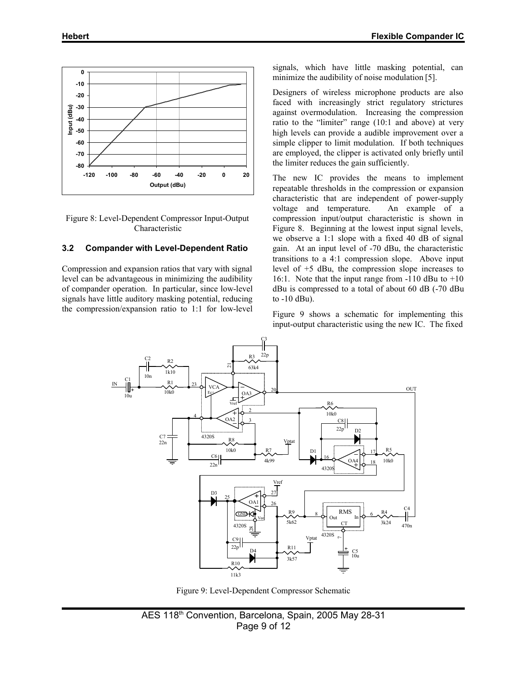

Figure 8: Level-Dependent Compressor Input-Output Characteristic

#### **3.2 Compander with Level-Dependent Ratio**

Compression and expansion ratios that vary with signal level can be advantageous in minimizing the audibility of compander operation. In particular, since low-level signals have little auditory masking potential, reducing the compression/expansion ratio to 1:1 for low-level

signals, which have little masking potential, can minimize the audibility of noise modulation [5].

Designers of wireless microphone products are also faced with increasingly strict regulatory strictures against overmodulation. Increasing the compression ratio to the "limiter" range (10:1 and above) at very high levels can provide a audible improvement over a simple clipper to limit modulation. If both techniques are employed, the clipper is activated only briefly until the limiter reduces the gain sufficiently.

The new IC provides the means to implement repeatable thresholds in the compression or expansion characteristic that are independent of power-supply voltage and temperature. An example of a compression input/output characteristic is shown in Figure 8. Beginning at the lowest input signal levels, we observe a 1:1 slope with a fixed 40 dB of signal gain. At an input level of -70 dBu, the characteristic transitions to a 4:1 compression slope. Above input level of +5 dBu, the compression slope increases to 16:1. Note that the input range from -110 dBu to +10 dBu is compressed to a total of about 60 dB (-70 dBu to -10 dBu).

Figure 9 shows a schematic for implementing this input-output characteristic using the new IC. The fixed



Figure 9: Level-Dependent Compressor Schematic

AES 118<sup>th</sup> Convention, Barcelona, Spain, 2005 May 28-31 Page 9 of 12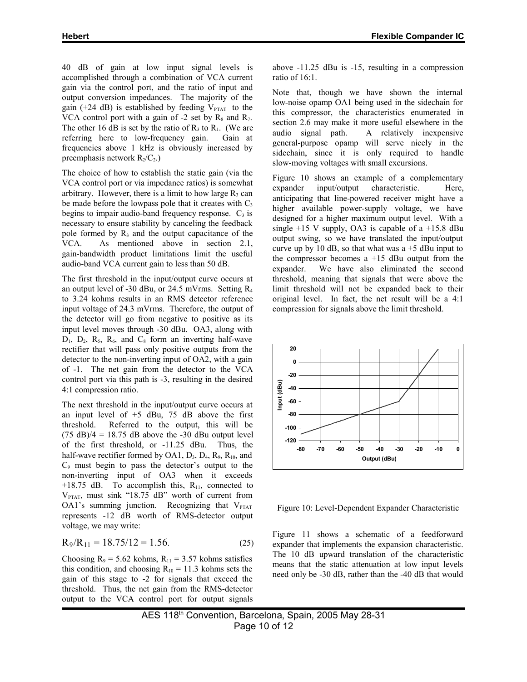40 dB of gain at low input signal levels is accomplished through a combination of VCA current gain via the control port, and the ratio of input and output conversion impedances. The majority of the gain (+24 dB) is established by feeding  $V_{PTAT}$  to the VCA control port with a gain of  $-2$  set by  $R_8$  and  $R_7$ . The other 16 dB is set by the ratio of  $R_3$  to  $R_1$ . (We are referring here to low-frequency gain. Gain at frequencies above 1 kHz is obviously increased by preemphasis network  $R_2/C_2$ .)

The choice of how to establish the static gain (via the VCA control port or via impedance ratios) is somewhat arbitrary. However, there is a limit to how large  $R_3$  can be made before the lowpass pole that it creates with  $C_3$ begins to impair audio-band frequency response.  $C_3$  is necessary to ensure stability by canceling the feedback pole formed by  $R_3$  and the output capacitance of the VCA. As mentioned above in section 2.1, gain-bandwidth product limitations limit the useful audio-band VCA current gain to less than 50 dB.

The first threshold in the input/output curve occurs at an output level of -30 dBu, or 24.5 mVrms. Setting  $R_4$ to 3.24 kohms results in an RMS detector reference input voltage of 24.3 mVrms. Therefore, the output of the detector will go from negative to positive as its input level moves through -30 dBu. OA3, along with  $D_1$ ,  $D_2$ ,  $R_5$ ,  $R_6$ , and  $C_8$  form an inverting half-wave rectifier that will pass only positive outputs from the detector to the non-inverting input of OA2, with a gain of -1. The net gain from the detector to the VCA control port via this path is -3, resulting in the desired 4:1 compression ratio.

The next threshold in the input/output curve occurs at an input level of  $+5$  dBu, 75 dB above the first threshold. Referred to the output, this will be  $(75 \text{ dB})/4 = 18.75 \text{ dB}$  above the -30 dBu output level of the first threshold, or -11.25 dBu. Thus, the half-wave rectifier formed by OA1,  $D_3$ ,  $D_4$ ,  $R_9$ ,  $R_{10}$ , and  $C_9$  must begin to pass the detector's output to the non-inverting input of OA3 when it exceeds +18.75 dB. To accomplish this,  $R_{11}$ , connected to  $V_{PTAT}$ , must sink "18.75 dB" worth of current from OA1's summing junction. Recognizing that  $V_{PTAT}$ represents -12 dB worth of RMS-detector output voltage, we may write:

$$
R_9/R_{11} = 18.75/12 = 1.56.
$$
 (25)

Choosing  $R_9 = 5.62$  kohms,  $R_{11} = 3.57$  kohms satisfies this condition, and choosing  $R_{10} = 11.3$  kohms sets the gain of this stage to -2 for signals that exceed the threshold. Thus, the net gain from the RMS-detector output to the VCA control port for output signals above -11.25 dBu is -15, resulting in a compression ratio of 16:1.

Note that, though we have shown the internal low-noise opamp OA1 being used in the sidechain for this compressor, the characteristics enumerated in section 2.6 may make it more useful elsewhere in the audio signal path. A relatively inexpensive general-purpose opamp will serve nicely in the sidechain, since it is only required to handle slow-moving voltages with small excursions.

Figure 10 shows an example of a complementary expander input/output characteristic. Here, anticipating that line-powered receiver might have a higher available power-supply voltage, we have designed for a higher maximum output level. With a single  $+15$  V supply, OA3 is capable of a  $+15.8$  dBu output swing, so we have translated the input/output curve up by 10 dB, so that what was  $a + 5$  dBu input to the compressor becomes  $a +15$  dBu output from the expander. We have also eliminated the second threshold, meaning that signals that were above the limit threshold will not be expanded back to their original level. In fact, the net result will be a 4:1 compression for signals above the limit threshold.



Figure 10: Level-Dependent Expander Characteristic

Figure 11 shows a schematic of a feedforward expander that implements the expansion characteristic. The 10 dB upward translation of the characteristic means that the static attenuation at low input levels need only be -30 dB, rather than the -40 dB that would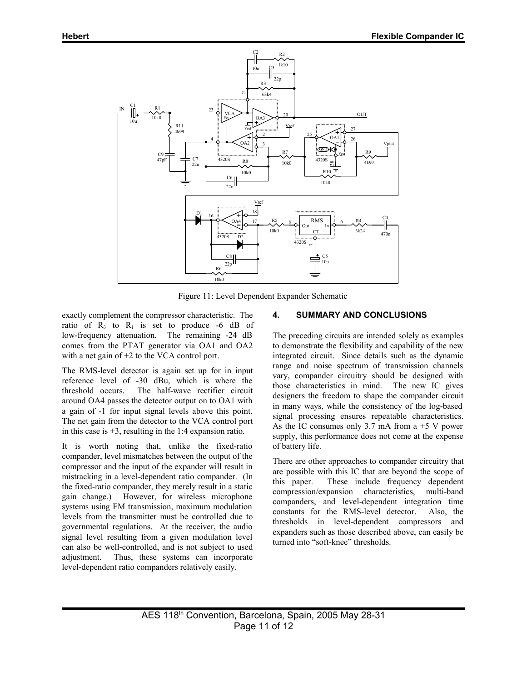

Figure 11: Level Dependent Expander Schematic

exactly complement the compressor characteristic. The ratio of  $R_3$  to  $R_1$  is set to produce -6 dB of low-frequency attenuation. The remaining -24 dB comes from the PTAT generator via OA1 and OA2 with a net gain of  $+2$  to the VCA control port.

The RMS-level detector is again set up for in input reference level of -30 dBu, which is where the threshold occurs. The half-wave rectifier circuit around OA4 passes the detector output on to OA1 with a gain of -1 for input signal levels above this point. The net gain from the detector to the VCA control port in this case is  $+3$ , resulting in the 1:4 expansion ratio.

It is worth noting that, unlike the fixed-ratio compander, level mismatches between the output of the compressor and the input of the expander will result in mistracking in a level-dependent ratio compander. (In the fixed-ratio compander, they merely result in a static gain change.) However, for wireless microphone systems using FM transmission, maximum modulation levels from the transmitter must be controlled due to governmental regulations. At the receiver, the audio signal level resulting from a given modulation level can also be well-controlled, and is not subject to used adjustment. Thus, these systems can incorporate level-dependent ratio companders relatively easily.

#### **4. SUMMARY AND CONCLUSIONS**

The preceding circuits are intended solely as examples to demonstrate the flexibility and capability of the new integrated circuit. Since details such as the dynamic range and noise spectrum of transmission channels vary, compander circuitry should be designed with those characteristics in mind. The new IC gives designers the freedom to shape the compander circuit in many ways, while the consistency of the log-based signal processing ensures repeatable characteristics. As the IC consumes only 3.7 mA from  $a + 5$  V power supply, this performance does not come at the expense of battery life.

There are other approaches to compander circuitry that are possible with this IC that are beyond the scope of this paper. These include frequency dependent compression/expansion characteristics, multi-band companders, and level-dependent integration time constants for the RMS-level detector. Also, the thresholds in level-dependent compressors and expanders such as those described above, can easily be turned into "soft-knee" thresholds.